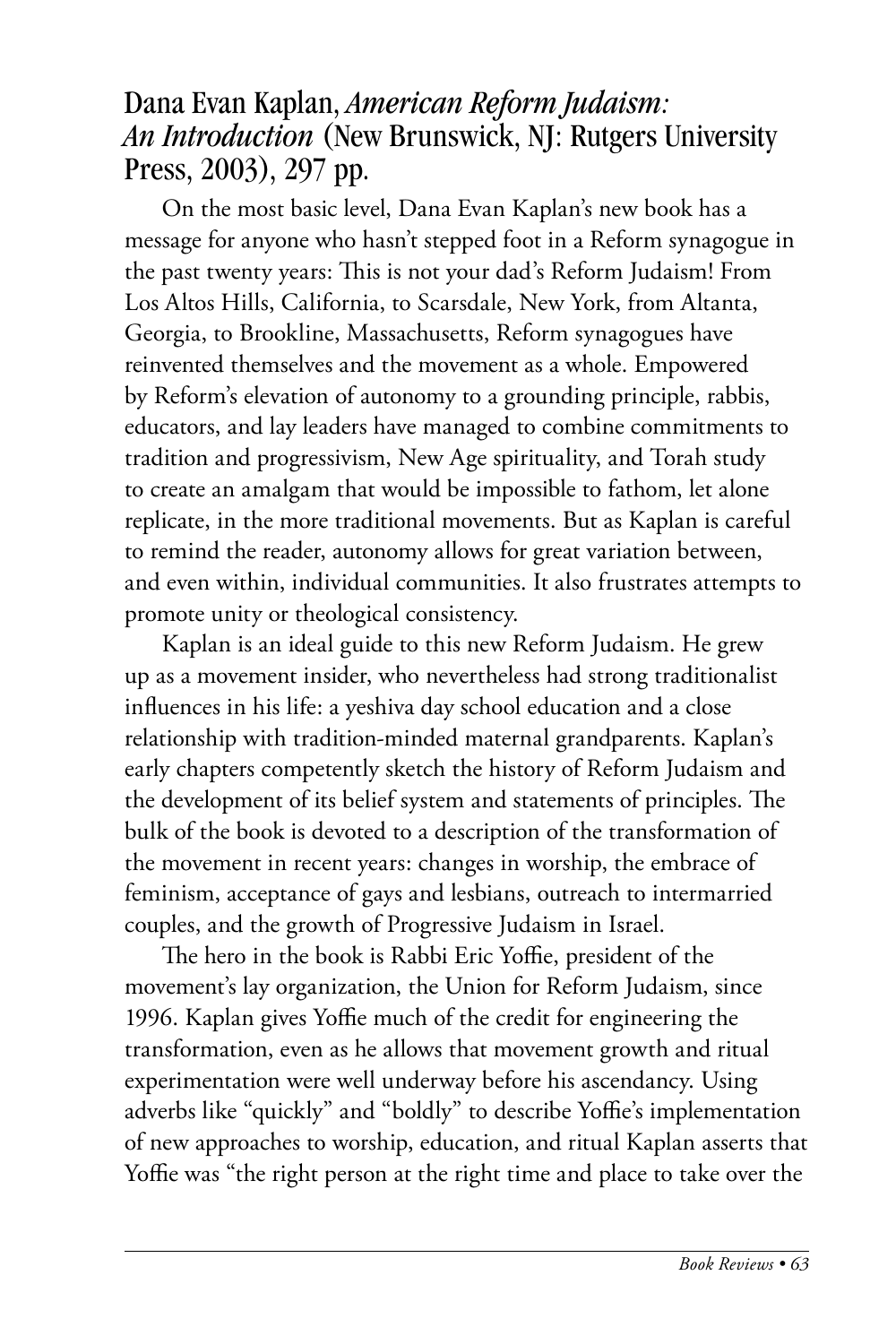## Dana Evan Kaplan, *American Reform Judaism: An Introduction* (New Brunswick, NJ: Rutgers University Press, 2003), 297 pp.

On the most basic level, Dana Evan Kaplan's new book has a message for anyone who hasn't stepped foot in a Reform synagogue in the past twenty years: This is not your dad's Reform Judaism! From Los Altos Hills, California, to Scarsdale, New York, from Altanta, Georgia, to Brookline, Massachusetts, Reform synagogues have reinvented themselves and the movement as a whole. Empowered by Reform's elevation of autonomy to a grounding principle, rabbis, educators, and lay leaders have managed to combine commitments to tradition and progressivism, New Age spirituality, and Torah study to create an amalgam that would be impossible to fathom, let alone replicate, in the more traditional movements. But as Kaplan is careful to remind the reader, autonomy allows for great variation between, and even within, individual communities. It also frustrates attempts to promote unity or theological consistency.

Kaplan is an ideal guide to this new Reform Judaism. He grew up as a movement insider, who nevertheless had strong traditionalist influences in his life: a yeshiva day school education and a close relationship with tradition-minded maternal grandparents. Kaplan's early chapters competently sketch the history of Reform Judaism and the development of its belief system and statements of principles. The bulk of the book is devoted to a description of the transformation of the movement in recent years: changes in worship, the embrace of feminism, acceptance of gays and lesbians, outreach to intermarried couples, and the growth of Progressive Judaism in Israel.

The hero in the book is Rabbi Eric Yoffie, president of the movement's lay organization, the Union for Reform Judaism, since 1996. Kaplan gives Yoffie much of the credit for engineering the transformation, even as he allows that movement growth and ritual experimentation were well underway before his ascendancy. Using adverbs like "quickly" and "boldly" to describe Yoffie's implementation of new approaches to worship, education, and ritual Kaplan asserts that Yoffie was "the right person at the right time and place to take over the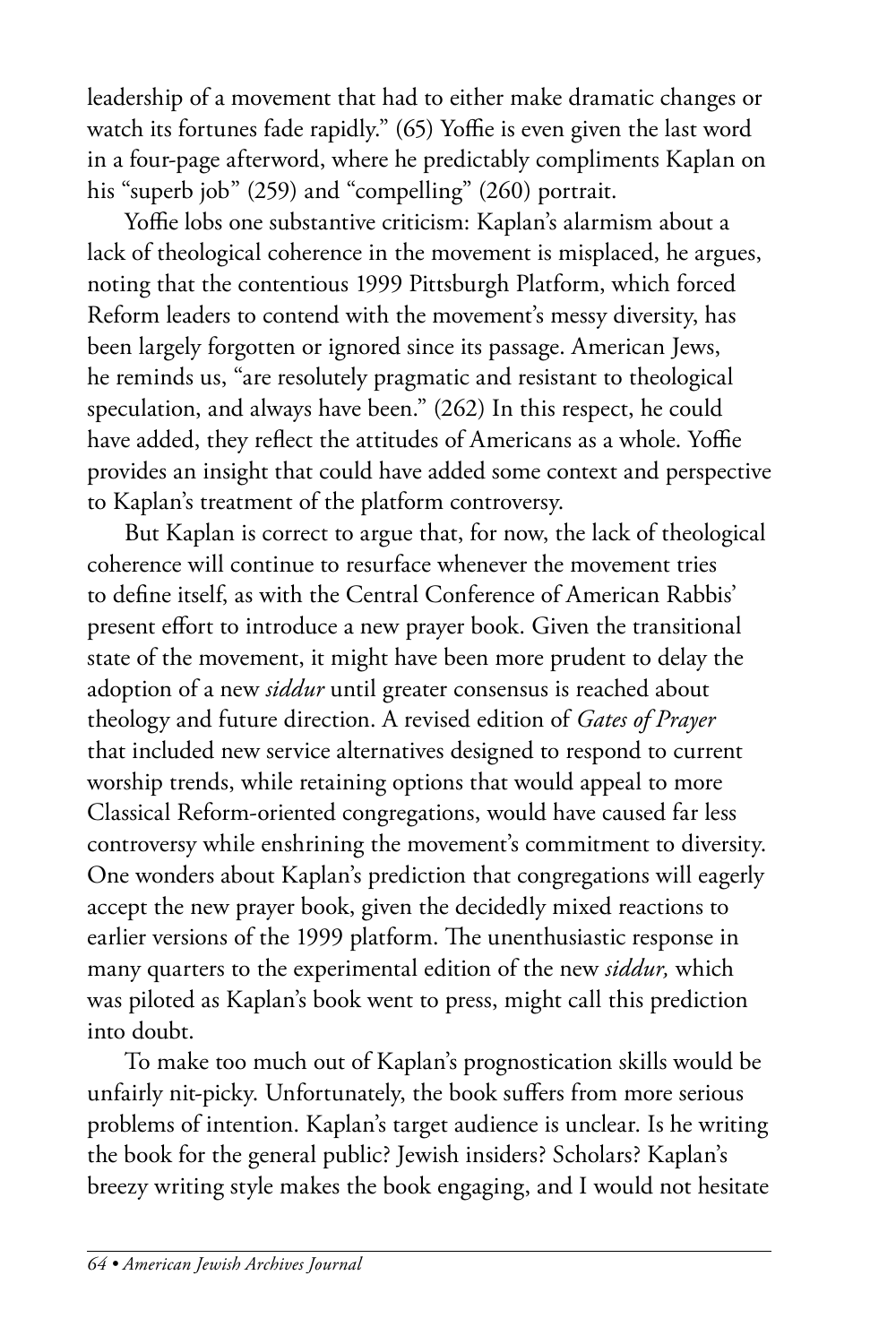leadership of a movement that had to either make dramatic changes or watch its fortunes fade rapidly." (65) Yoffie is even given the last word in a four-page afterword, where he predictably compliments Kaplan on his "superb job" (259) and "compelling" (260) portrait.

Yoffie lobs one substantive criticism: Kaplan's alarmism about a lack of theological coherence in the movement is misplaced, he argues, noting that the contentious 1999 Pittsburgh Platform, which forced Reform leaders to contend with the movement's messy diversity, has been largely forgotten or ignored since its passage. American Jews, he reminds us, "are resolutely pragmatic and resistant to theological speculation, and always have been." (262) In this respect, he could have added, they reflect the attitudes of Americans as a whole. Yoffie provides an insight that could have added some context and perspective to Kaplan's treatment of the platform controversy.

But Kaplan is correct to argue that, for now, the lack of theological coherence will continue to resurface whenever the movement tries to define itself, as with the Central Conference of American Rabbis' present effort to introduce a new prayer book. Given the transitional state of the movement, it might have been more prudent to delay the adoption of a new *siddur* until greater consensus is reached about theology and future direction. A revised edition of *Gates of Prayer* that included new service alternatives designed to respond to current worship trends, while retaining options that would appeal to more Classical Reform-oriented congregations, would have caused far less controversy while enshrining the movement's commitment to diversity. One wonders about Kaplan's prediction that congregations will eagerly accept the new prayer book, given the decidedly mixed reactions to earlier versions of the 1999 platform. The unenthusiastic response in many quarters to the experimental edition of the new *siddur,* which was piloted as Kaplan's book went to press, might call this prediction into doubt.

To make too much out of Kaplan's prognostication skills would be unfairly nit-picky. Unfortunately, the book suffers from more serious problems of intention. Kaplan's target audience is unclear. Is he writing the book for the general public? Jewish insiders? Scholars? Kaplan's breezy writing style makes the book engaging, and I would not hesitate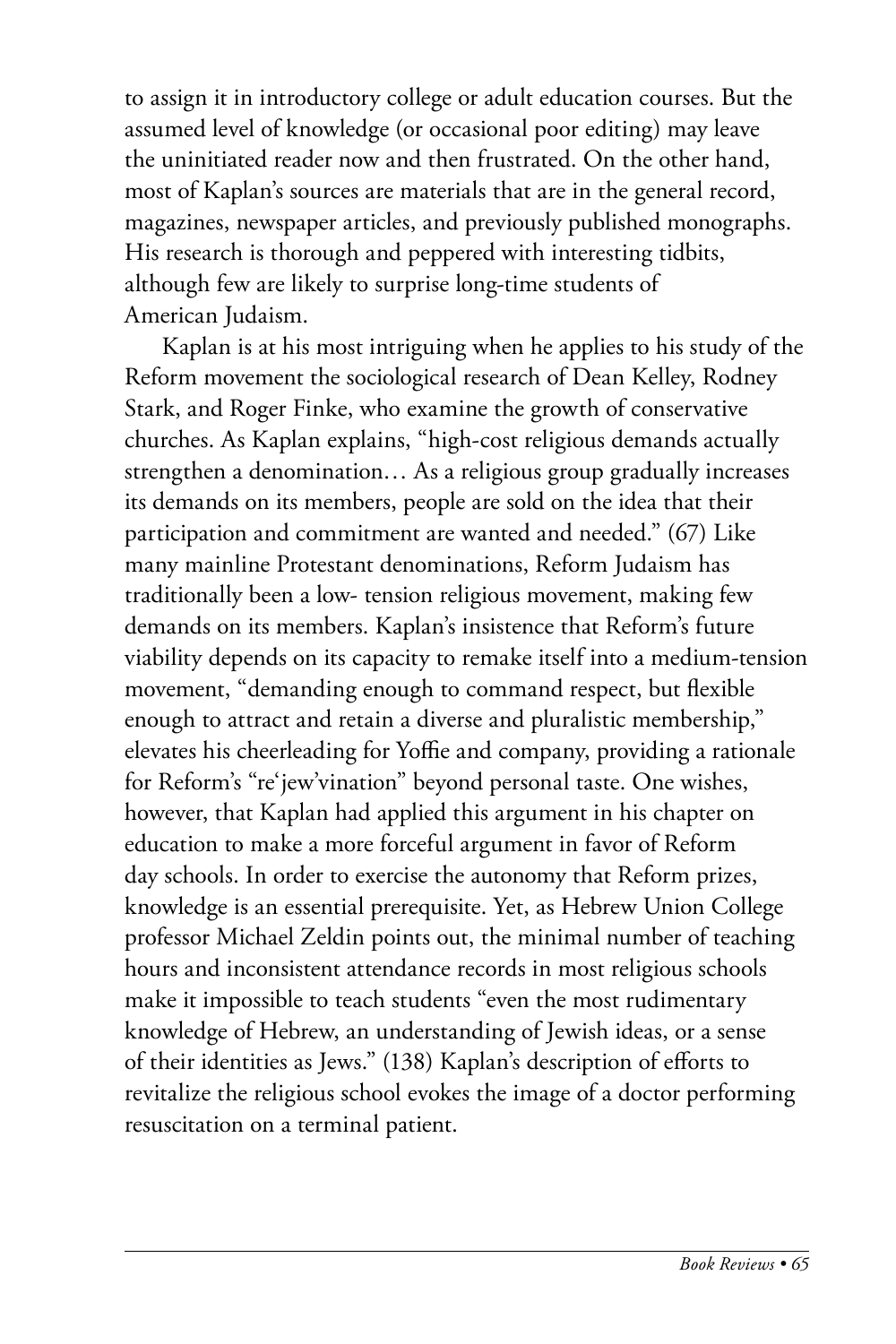to assign it in introductory college or adult education courses. But the assumed level of knowledge (or occasional poor editing) may leave the uninitiated reader now and then frustrated. On the other hand, most of Kaplan's sources are materials that are in the general record, magazines, newspaper articles, and previously published monographs. His research is thorough and peppered with interesting tidbits, although few are likely to surprise long-time students of American Judaism.

Kaplan is at his most intriguing when he applies to his study of the Reform movement the sociological research of Dean Kelley, Rodney Stark, and Roger Finke, who examine the growth of conservative churches. As Kaplan explains, "high-cost religious demands actually strengthen a denomination… As a religious group gradually increases its demands on its members, people are sold on the idea that their participation and commitment are wanted and needed." (67) Like many mainline Protestant denominations, Reform Judaism has traditionally been a low- tension religious movement, making few demands on its members. Kaplan's insistence that Reform's future viability depends on its capacity to remake itself into a medium-tension movement, "demanding enough to command respect, but flexible enough to attract and retain a diverse and pluralistic membership," elevates his cheerleading for Yoffie and company, providing a rationale for Reform's "re'jew'vination" beyond personal taste. One wishes, however, that Kaplan had applied this argument in his chapter on education to make a more forceful argument in favor of Reform day schools. In order to exercise the autonomy that Reform prizes, knowledge is an essential prerequisite. Yet, as Hebrew Union College professor Michael Zeldin points out, the minimal number of teaching hours and inconsistent attendance records in most religious schools make it impossible to teach students "even the most rudimentary knowledge of Hebrew, an understanding of Jewish ideas, or a sense of their identities as Jews." (138) Kaplan's description of efforts to revitalize the religious school evokes the image of a doctor performing resuscitation on a terminal patient.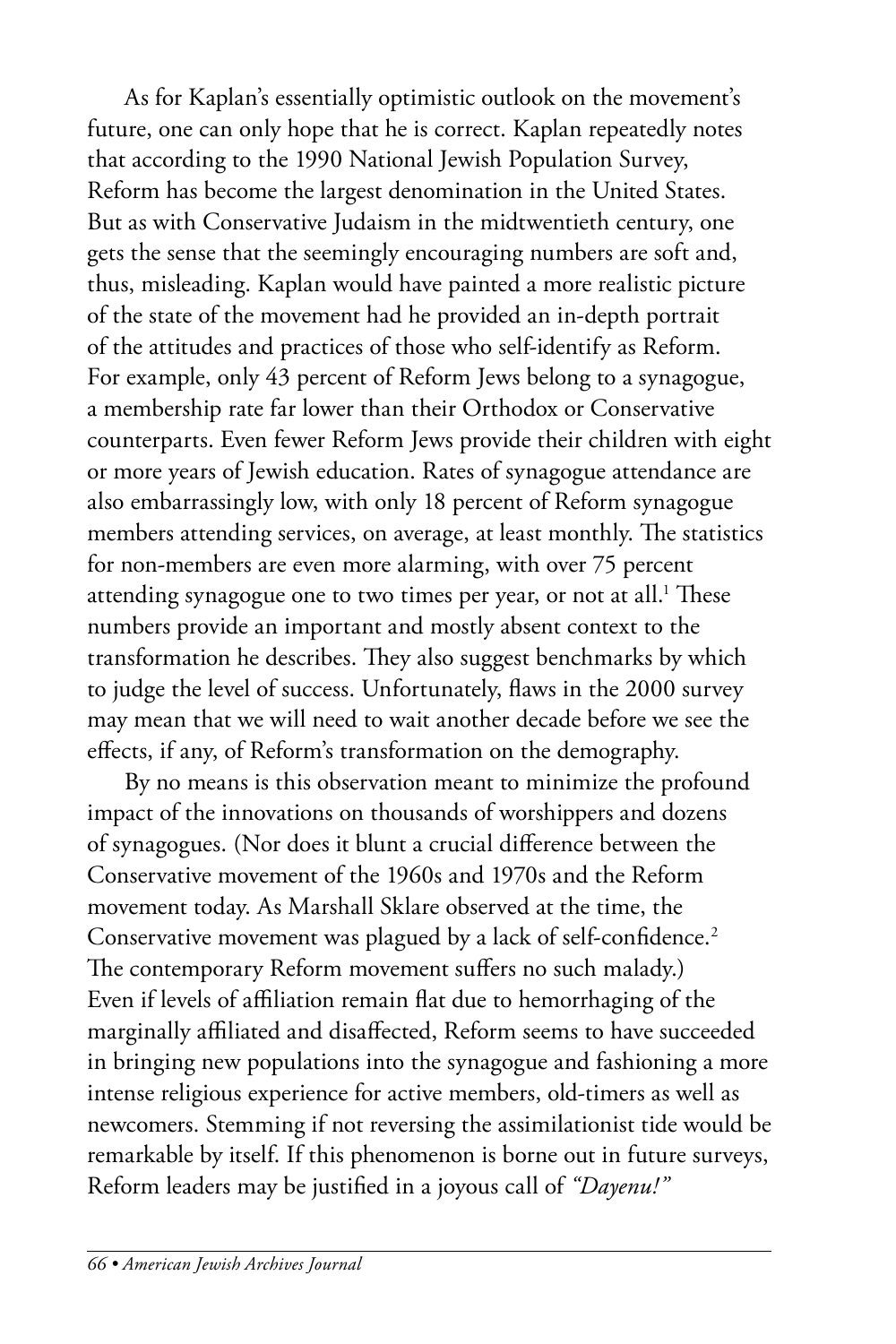As for Kaplan's essentially optimistic outlook on the movement's future, one can only hope that he is correct. Kaplan repeatedly notes that according to the 1990 National Jewish Population Survey, Reform has become the largest denomination in the United States. But as with Conservative Judaism in the midtwentieth century, one gets the sense that the seemingly encouraging numbers are soft and, thus, misleading. Kaplan would have painted a more realistic picture of the state of the movement had he provided an in-depth portrait of the attitudes and practices of those who self-identify as Reform. For example, only 43 percent of Reform Jews belong to a synagogue, a membership rate far lower than their Orthodox or Conservative counterparts. Even fewer Reform Jews provide their children with eight or more years of Jewish education. Rates of synagogue attendance are also embarrassingly low, with only 18 percent of Reform synagogue members attending services, on average, at least monthly. The statistics for non-members are even more alarming, with over 75 percent attending synagogue one to two times per year, or not at all.<sup>1</sup> These numbers provide an important and mostly absent context to the transformation he describes. They also suggest benchmarks by which to judge the level of success. Unfortunately, flaws in the 2000 survey may mean that we will need to wait another decade before we see the effects, if any, of Reform's transformation on the demography.

By no means is this observation meant to minimize the profound impact of the innovations on thousands of worshippers and dozens of synagogues. (Nor does it blunt a crucial difference between the Conservative movement of the 1960s and 1970s and the Reform movement today. As Marshall Sklare observed at the time, the Conservative movement was plagued by a lack of self-confidence.<sup>2</sup> The contemporary Reform movement suffers no such malady.) Even if levels of affiliation remain flat due to hemorrhaging of the marginally affiliated and disaffected, Reform seems to have succeeded in bringing new populations into the synagogue and fashioning a more intense religious experience for active members, old-timers as well as newcomers. Stemming if not reversing the assimilationist tide would be remarkable by itself. If this phenomenon is borne out in future surveys, Reform leaders may be justified in a joyous call of *"Dayenu!"*